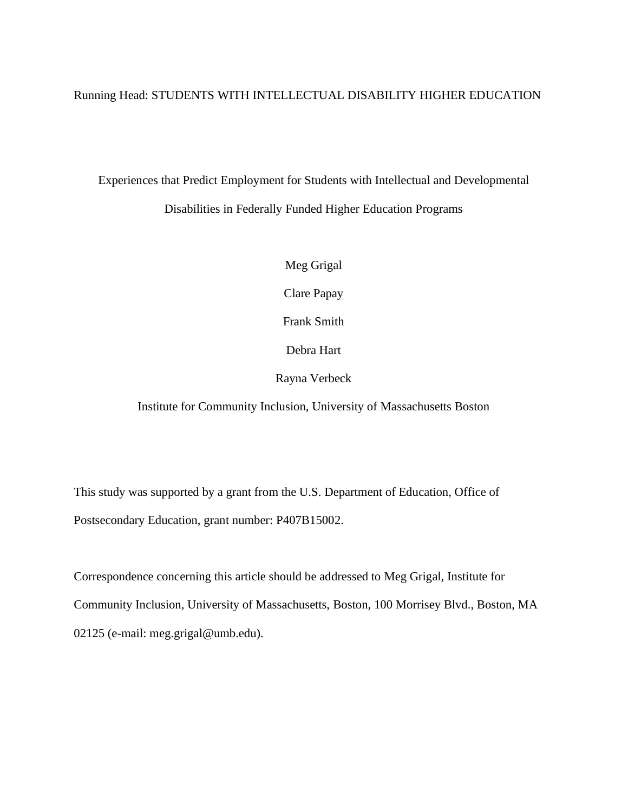# Running Head: STUDENTS WITH INTELLECTUAL DISABILITY HIGHER EDUCATION

# Experiences that Predict Employment for Students with Intellectual and Developmental Disabilities in Federally Funded Higher Education Programs

Meg Grigal

Clare Papay

Frank Smith

Debra Hart

Rayna Verbeck

Institute for Community Inclusion, University of Massachusetts Boston

This study was supported by a grant from the U.S. Department of Education, Office of Postsecondary Education, grant number: P407B15002.

Correspondence concerning this article should be addressed to Meg Grigal, Institute for Community Inclusion, University of Massachusetts, Boston, 100 Morrisey Blvd., Boston, MA 02125 (e-mail: meg.grigal@umb.edu).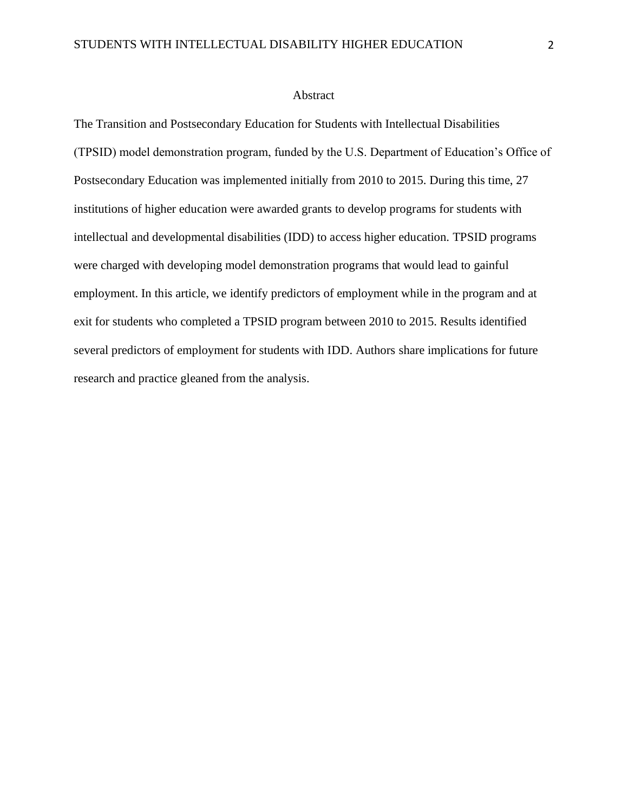#### Abstract

The Transition and Postsecondary Education for Students with Intellectual Disabilities (TPSID) model demonstration program, funded by the U.S. Department of Education's Office of Postsecondary Education was implemented initially from 2010 to 2015. During this time, 27 institutions of higher education were awarded grants to develop programs for students with intellectual and developmental disabilities (IDD) to access higher education. TPSID programs were charged with developing model demonstration programs that would lead to gainful employment. In this article, we identify predictors of employment while in the program and at exit for students who completed a TPSID program between 2010 to 2015. Results identified several predictors of employment for students with IDD. Authors share implications for future research and practice gleaned from the analysis.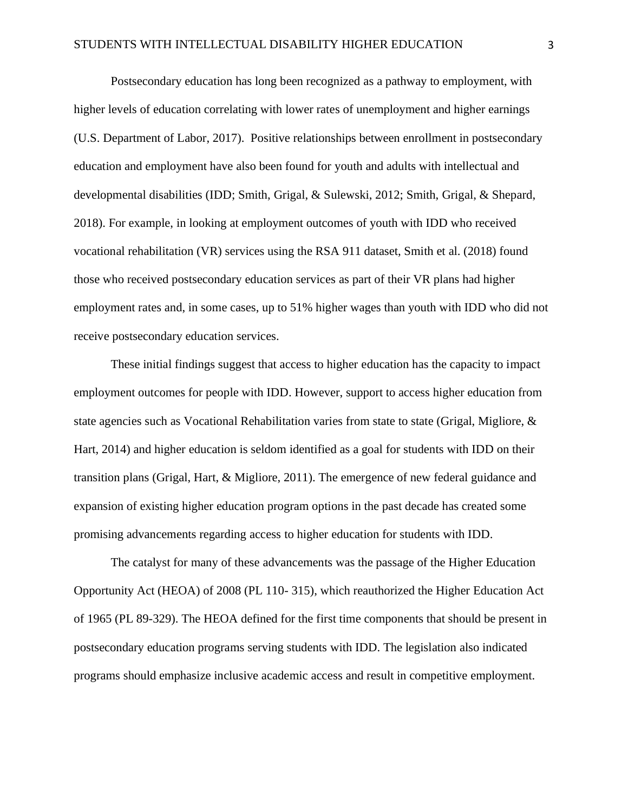Postsecondary education has long been recognized as a pathway to employment, with higher levels of education correlating with lower rates of unemployment and higher earnings (U.S. Department of Labor, 2017). Positive relationships between enrollment in postsecondary education and employment have also been found for youth and adults with intellectual and developmental disabilities (IDD; Smith, Grigal, & Sulewski, 2012; Smith, Grigal, & Shepard, 2018). For example, in looking at employment outcomes of youth with IDD who received vocational rehabilitation (VR) services using the RSA 911 dataset, Smith et al. (2018) found those who received postsecondary education services as part of their VR plans had higher employment rates and, in some cases, up to 51% higher wages than youth with IDD who did not receive postsecondary education services.

These initial findings suggest that access to higher education has the capacity to impact employment outcomes for people with IDD. However, support to access higher education from state agencies such as Vocational Rehabilitation varies from state to state (Grigal, Migliore,  $\&$ Hart, 2014) and higher education is seldom identified as a goal for students with IDD on their transition plans (Grigal, Hart, & Migliore, 2011). The emergence of new federal guidance and expansion of existing higher education program options in the past decade has created some promising advancements regarding access to higher education for students with IDD.

The catalyst for many of these advancements was the passage of the Higher Education Opportunity Act (HEOA) of 2008 (PL 110- 315), which reauthorized the Higher Education Act of 1965 (PL 89-329). The HEOA defined for the first time components that should be present in postsecondary education programs serving students with IDD. The legislation also indicated programs should emphasize inclusive academic access and result in competitive employment.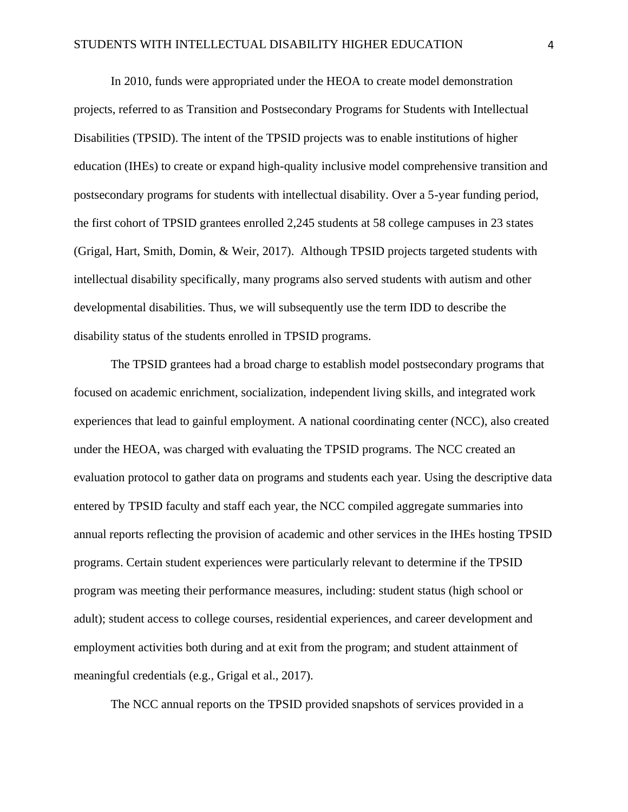In 2010, funds were appropriated under the HEOA to create model demonstration projects, referred to as Transition and Postsecondary Programs for Students with Intellectual Disabilities (TPSID). The intent of the TPSID projects was to enable institutions of higher education (IHEs) to create or expand high-quality inclusive model comprehensive transition and postsecondary programs for students with intellectual disability. Over a 5-year funding period, the first cohort of TPSID grantees enrolled 2,245 students at 58 college campuses in 23 states (Grigal, Hart, Smith, Domin, & Weir, 2017). Although TPSID projects targeted students with intellectual disability specifically, many programs also served students with autism and other developmental disabilities. Thus, we will subsequently use the term IDD to describe the disability status of the students enrolled in TPSID programs.

The TPSID grantees had a broad charge to establish model postsecondary programs that focused on academic enrichment, socialization, independent living skills, and integrated work experiences that lead to gainful employment. A national coordinating center (NCC), also created under the HEOA, was charged with evaluating the TPSID programs. The NCC created an evaluation protocol to gather data on programs and students each year. Using the descriptive data entered by TPSID faculty and staff each year, the NCC compiled aggregate summaries into annual reports reflecting the provision of academic and other services in the IHEs hosting TPSID programs. Certain student experiences were particularly relevant to determine if the TPSID program was meeting their performance measures, including: student status (high school or adult); student access to college courses, residential experiences, and career development and employment activities both during and at exit from the program; and student attainment of meaningful credentials (e.g., Grigal et al., 2017).

The NCC annual reports on the TPSID provided snapshots of services provided in a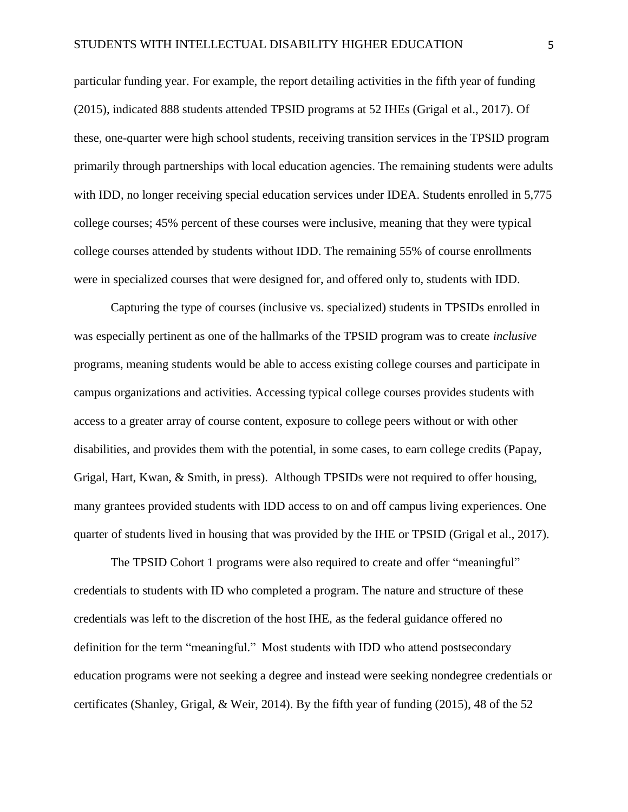particular funding year. For example, the report detailing activities in the fifth year of funding (2015), indicated 888 students attended TPSID programs at 52 IHEs (Grigal et al., 2017). Of these, one-quarter were high school students, receiving transition services in the TPSID program primarily through partnerships with local education agencies. The remaining students were adults with IDD, no longer receiving special education services under IDEA. Students enrolled in 5,775 college courses; 45% percent of these courses were inclusive, meaning that they were typical college courses attended by students without IDD. The remaining 55% of course enrollments were in specialized courses that were designed for, and offered only to, students with IDD.

Capturing the type of courses (inclusive vs. specialized) students in TPSIDs enrolled in was especially pertinent as one of the hallmarks of the TPSID program was to create *inclusive*  programs, meaning students would be able to access existing college courses and participate in campus organizations and activities. Accessing typical college courses provides students with access to a greater array of course content, exposure to college peers without or with other disabilities, and provides them with the potential, in some cases, to earn college credits (Papay, Grigal, Hart, Kwan, & Smith, in press). Although TPSIDs were not required to offer housing, many grantees provided students with IDD access to on and off campus living experiences. One quarter of students lived in housing that was provided by the IHE or TPSID (Grigal et al., 2017).

The TPSID Cohort 1 programs were also required to create and offer "meaningful" credentials to students with ID who completed a program. The nature and structure of these credentials was left to the discretion of the host IHE, as the federal guidance offered no definition for the term "meaningful." Most students with IDD who attend postsecondary education programs were not seeking a degree and instead were seeking nondegree credentials or certificates (Shanley, Grigal, & Weir, 2014). By the fifth year of funding (2015), 48 of the 52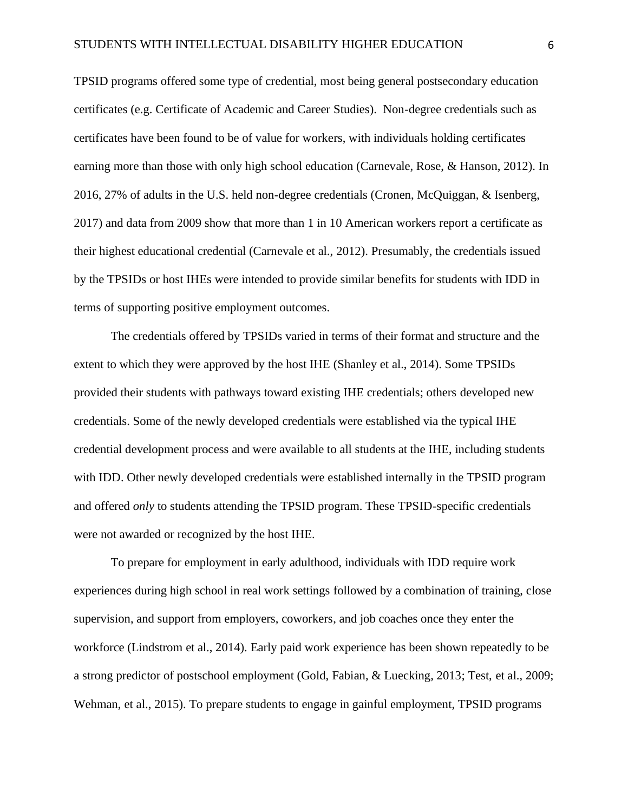TPSID programs offered some type of credential, most being general postsecondary education certificates (e.g. Certificate of Academic and Career Studies). Non-degree credentials such as certificates have been found to be of value for workers, with individuals holding certificates earning more than those with only high school education (Carnevale, Rose, & Hanson, 2012). In 2016, 27% of adults in the U.S. held non-degree credentials (Cronen, McQuiggan, & Isenberg, 2017) and data from 2009 show that more than 1 in 10 American workers report a certificate as their highest educational credential (Carnevale et al., 2012). Presumably, the credentials issued by the TPSIDs or host IHEs were intended to provide similar benefits for students with IDD in terms of supporting positive employment outcomes.

The credentials offered by TPSIDs varied in terms of their format and structure and the extent to which they were approved by the host IHE (Shanley et al., 2014). Some TPSIDs provided their students with pathways toward existing IHE credentials; others developed new credentials. Some of the newly developed credentials were established via the typical IHE credential development process and were available to all students at the IHE, including students with IDD. Other newly developed credentials were established internally in the TPSID program and offered *only* to students attending the TPSID program. These TPSID-specific credentials were not awarded or recognized by the host IHE.

To prepare for employment in early adulthood, individuals with IDD require work experiences during high school in real work settings followed by a combination of training, close supervision, and support from employers, coworkers, and job coaches once they enter the workforce (Lindstrom et al., 2014). Early paid work experience has been shown repeatedly to be a strong predictor of postschool employment (Gold, Fabian, & Luecking, 2013; Test, et al., 2009; Wehman, et al., 2015). To prepare students to engage in gainful employment, TPSID programs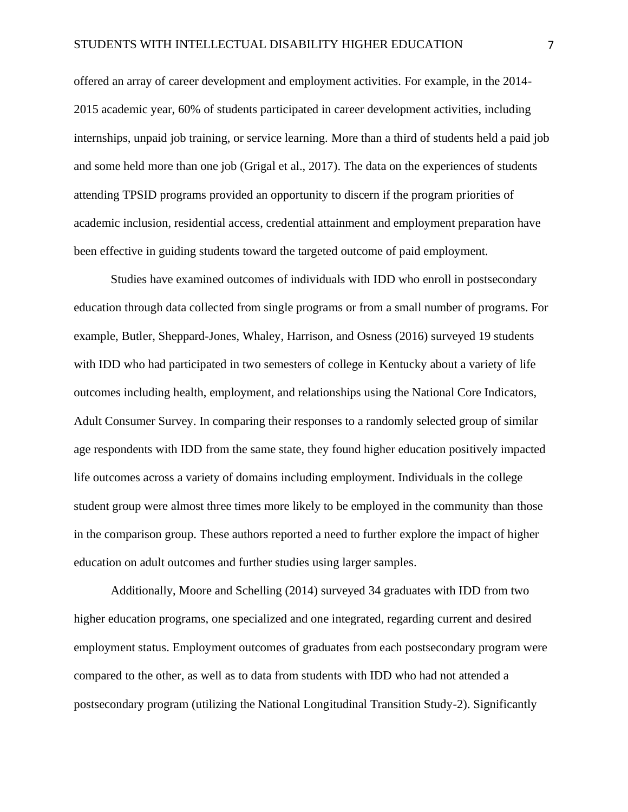offered an array of career development and employment activities. For example, in the 2014- 2015 academic year, 60% of students participated in career development activities, including internships, unpaid job training, or service learning. More than a third of students held a paid job and some held more than one job (Grigal et al., 2017). The data on the experiences of students attending TPSID programs provided an opportunity to discern if the program priorities of academic inclusion, residential access, credential attainment and employment preparation have been effective in guiding students toward the targeted outcome of paid employment.

Studies have examined outcomes of individuals with IDD who enroll in postsecondary education through data collected from single programs or from a small number of programs. For example, Butler, Sheppard-Jones, Whaley, Harrison, and Osness (2016) surveyed 19 students with IDD who had participated in two semesters of college in Kentucky about a variety of life outcomes including health, employment, and relationships using the National Core Indicators, Adult Consumer Survey. In comparing their responses to a randomly selected group of similar age respondents with IDD from the same state, they found higher education positively impacted life outcomes across a variety of domains including employment. Individuals in the college student group were almost three times more likely to be employed in the community than those in the comparison group. These authors reported a need to further explore the impact of higher education on adult outcomes and further studies using larger samples.

Additionally, Moore and Schelling (2014) surveyed 34 graduates with IDD from two higher education programs, one specialized and one integrated, regarding current and desired employment status. Employment outcomes of graduates from each postsecondary program were compared to the other, as well as to data from students with IDD who had not attended a postsecondary program (utilizing the National Longitudinal Transition Study-2). Significantly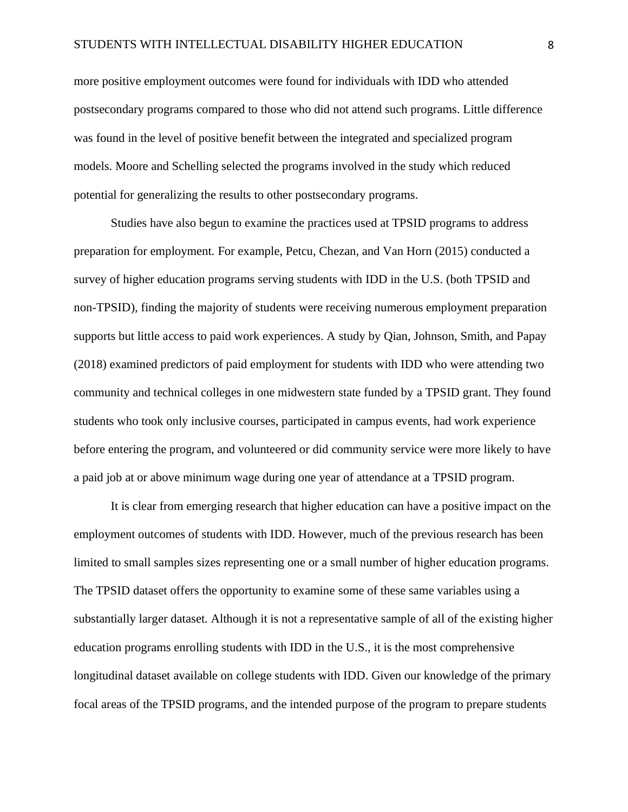more positive employment outcomes were found for individuals with IDD who attended postsecondary programs compared to those who did not attend such programs. Little difference was found in the level of positive benefit between the integrated and specialized program models. Moore and Schelling selected the programs involved in the study which reduced potential for generalizing the results to other postsecondary programs.

Studies have also begun to examine the practices used at TPSID programs to address preparation for employment. For example, Petcu, Chezan, and Van Horn (2015) conducted a survey of higher education programs serving students with IDD in the U.S. (both TPSID and non-TPSID), finding the majority of students were receiving numerous employment preparation supports but little access to paid work experiences. A study by Qian, Johnson, Smith, and Papay (2018) examined predictors of paid employment for students with IDD who were attending two community and technical colleges in one midwestern state funded by a TPSID grant. They found students who took only inclusive courses, participated in campus events, had work experience before entering the program, and volunteered or did community service were more likely to have a paid job at or above minimum wage during one year of attendance at a TPSID program.

It is clear from emerging research that higher education can have a positive impact on the employment outcomes of students with IDD. However, much of the previous research has been limited to small samples sizes representing one or a small number of higher education programs. The TPSID dataset offers the opportunity to examine some of these same variables using a substantially larger dataset. Although it is not a representative sample of all of the existing higher education programs enrolling students with IDD in the U.S., it is the most comprehensive longitudinal dataset available on college students with IDD. Given our knowledge of the primary focal areas of the TPSID programs, and the intended purpose of the program to prepare students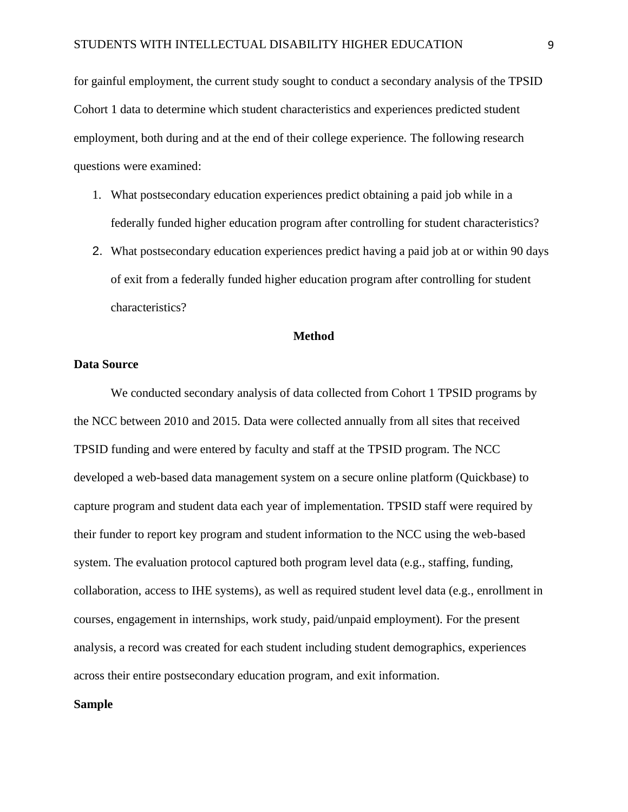for gainful employment, the current study sought to conduct a secondary analysis of the TPSID Cohort 1 data to determine which student characteristics and experiences predicted student employment, both during and at the end of their college experience. The following research questions were examined:

- 1. What postsecondary education experiences predict obtaining a paid job while in a federally funded higher education program after controlling for student characteristics?
- 2. What postsecondary education experiences predict having a paid job at or within 90 days of exit from a federally funded higher education program after controlling for student characteristics?

# **Method**

# **Data Source**

We conducted secondary analysis of data collected from Cohort 1 TPSID programs by the NCC between 2010 and 2015. Data were collected annually from all sites that received TPSID funding and were entered by faculty and staff at the TPSID program. The NCC developed a web-based data management system on a secure online platform (Quickbase) to capture program and student data each year of implementation. TPSID staff were required by their funder to report key program and student information to the NCC using the web-based system. The evaluation protocol captured both program level data (e.g., staffing, funding, collaboration, access to IHE systems), as well as required student level data (e.g., enrollment in courses, engagement in internships, work study, paid/unpaid employment). For the present analysis, a record was created for each student including student demographics, experiences across their entire postsecondary education program, and exit information.

# **Sample**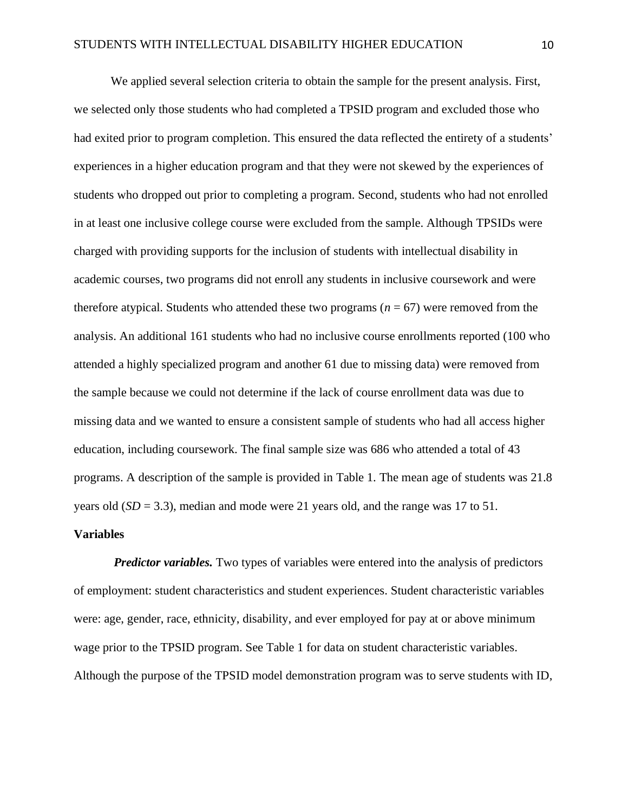We applied several selection criteria to obtain the sample for the present analysis. First, we selected only those students who had completed a TPSID program and excluded those who had exited prior to program completion. This ensured the data reflected the entirety of a students' experiences in a higher education program and that they were not skewed by the experiences of students who dropped out prior to completing a program. Second, students who had not enrolled in at least one inclusive college course were excluded from the sample. Although TPSIDs were charged with providing supports for the inclusion of students with intellectual disability in academic courses, two programs did not enroll any students in inclusive coursework and were therefore atypical. Students who attended these two programs  $(n = 67)$  were removed from the analysis. An additional 161 students who had no inclusive course enrollments reported (100 who attended a highly specialized program and another 61 due to missing data) were removed from the sample because we could not determine if the lack of course enrollment data was due to missing data and we wanted to ensure a consistent sample of students who had all access higher education, including coursework. The final sample size was 686 who attended a total of 43 programs. A description of the sample is provided in Table 1. The mean age of students was 21.8 years old (*SD* = 3.3), median and mode were 21 years old, and the range was 17 to 51.

## **Variables**

*Predictor variables.* Two types of variables were entered into the analysis of predictors of employment: student characteristics and student experiences. Student characteristic variables were: age, gender, race, ethnicity, disability, and ever employed for pay at or above minimum wage prior to the TPSID program. See Table 1 for data on student characteristic variables. Although the purpose of the TPSID model demonstration program was to serve students with ID,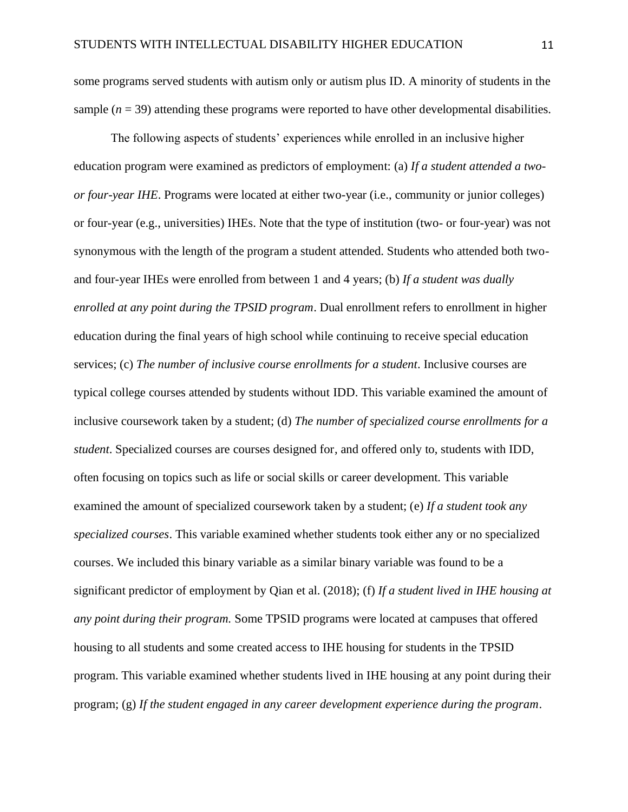some programs served students with autism only or autism plus ID. A minority of students in the sample  $(n = 39)$  attending these programs were reported to have other developmental disabilities.

The following aspects of students' experiences while enrolled in an inclusive higher education program were examined as predictors of employment: (a) *If a student attended a twoor four-year IHE*. Programs were located at either two-year (i.e., community or junior colleges) or four-year (e.g., universities) IHEs. Note that the type of institution (two- or four-year) was not synonymous with the length of the program a student attended. Students who attended both twoand four-year IHEs were enrolled from between 1 and 4 years; (b) *If a student was dually enrolled at any point during the TPSID program*. Dual enrollment refers to enrollment in higher education during the final years of high school while continuing to receive special education services; (c) *The number of inclusive course enrollments for a student*. Inclusive courses are typical college courses attended by students without IDD. This variable examined the amount of inclusive coursework taken by a student; (d) *The number of specialized course enrollments for a student*. Specialized courses are courses designed for, and offered only to, students with IDD, often focusing on topics such as life or social skills or career development. This variable examined the amount of specialized coursework taken by a student; (e) *If a student took any specialized courses*. This variable examined whether students took either any or no specialized courses. We included this binary variable as a similar binary variable was found to be a significant predictor of employment by Qian et al. (2018); (f) *If a student lived in IHE housing at any point during their program.* Some TPSID programs were located at campuses that offered housing to all students and some created access to IHE housing for students in the TPSID program. This variable examined whether students lived in IHE housing at any point during their program; (g) *If the student engaged in any career development experience during the program*.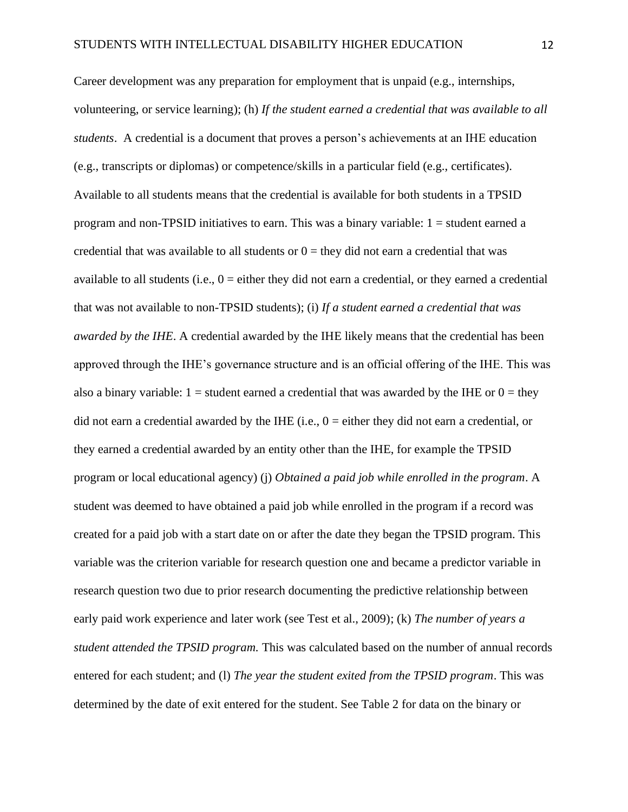Career development was any preparation for employment that is unpaid (e.g., internships, volunteering, or service learning); (h) *If the student earned a credential that was available to all students*. A credential is a document that proves a person's achievements at an IHE education (e.g., transcripts or diplomas) or competence/skills in a particular field (e.g., certificates). Available to all students means that the credential is available for both students in a TPSID program and non-TPSID initiatives to earn. This was a binary variable:  $1 =$  student earned a credential that was available to all students or  $0 =$  they did not earn a credential that was available to all students (i.e.,  $0 =$  either they did not earn a credential, or they earned a credential that was not available to non-TPSID students); (i) *If a student earned a credential that was awarded by the IHE*. A credential awarded by the IHE likely means that the credential has been approved through the IHE's governance structure and is an official offering of the IHE. This was also a binary variable:  $1 =$  student earned a credential that was awarded by the IHE or  $0 =$  they did not earn a credential awarded by the IHE (i.e.,  $0 =$  either they did not earn a credential, or they earned a credential awarded by an entity other than the IHE, for example the TPSID program or local educational agency) (j) *Obtained a paid job while enrolled in the program*. A student was deemed to have obtained a paid job while enrolled in the program if a record was created for a paid job with a start date on or after the date they began the TPSID program. This variable was the criterion variable for research question one and became a predictor variable in research question two due to prior research documenting the predictive relationship between early paid work experience and later work (see Test et al., 2009); (k) *The number of years a student attended the TPSID program.* This was calculated based on the number of annual records entered for each student; and (l) *The year the student exited from the TPSID program*. This was determined by the date of exit entered for the student. See Table 2 for data on the binary or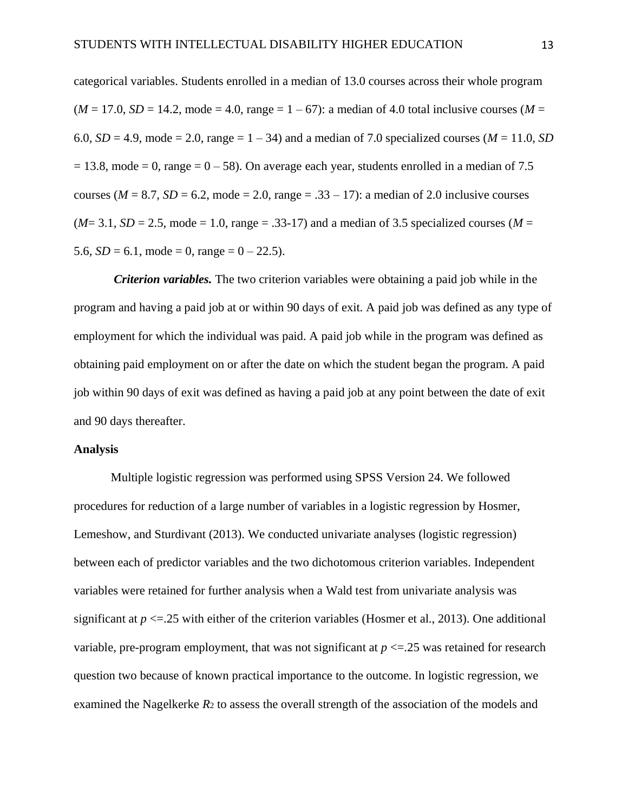categorical variables. Students enrolled in a median of 13.0 courses across their whole program  $(M = 17.0, SD = 14.2, mode = 4.0, range = 1 - 67)$ : a median of 4.0 total inclusive courses  $(M = 17.0, SD = 14.2, mode = 4.0, range = 1 - 67)$ : 6.0,  $SD = 4.9$ , mode = 2.0, range =  $1 - 34$ ) and a median of 7.0 specialized courses ( $M = 11.0$ , *SD*)  $= 13.8$ , mode  $= 0$ , range  $= 0 - 58$ ). On average each year, students enrolled in a median of 7.5 courses ( $M = 8.7$ ,  $SD = 6.2$ , mode = 2.0, range = .33 – 17): a median of 2.0 inclusive courses  $(M=3.1, SD=2.5, mode = 1.0, range = .33-17)$  and a median of 3.5 specialized courses  $(M=$ 5.6,  $SD = 6.1$ , mode = 0, range =  $0 - 22.5$ ).

*Criterion variables.* The two criterion variables were obtaining a paid job while in the program and having a paid job at or within 90 days of exit. A paid job was defined as any type of employment for which the individual was paid. A paid job while in the program was defined as obtaining paid employment on or after the date on which the student began the program. A paid job within 90 days of exit was defined as having a paid job at any point between the date of exit and 90 days thereafter.

# **Analysis**

Multiple logistic regression was performed using SPSS Version 24. We followed procedures for reduction of a large number of variables in a logistic regression by Hosmer, Lemeshow, and Sturdivant (2013). We conducted univariate analyses (logistic regression) between each of predictor variables and the two dichotomous criterion variables. Independent variables were retained for further analysis when a Wald test from univariate analysis was significant at  $p \le 25$  with either of the criterion variables (Hosmer et al., 2013). One additional variable, pre-program employment, that was not significant at  $p \le 25$  was retained for research question two because of known practical importance to the outcome. In logistic regression, we examined the Nagelkerke *R*<sup>2</sup> to assess the overall strength of the association of the models and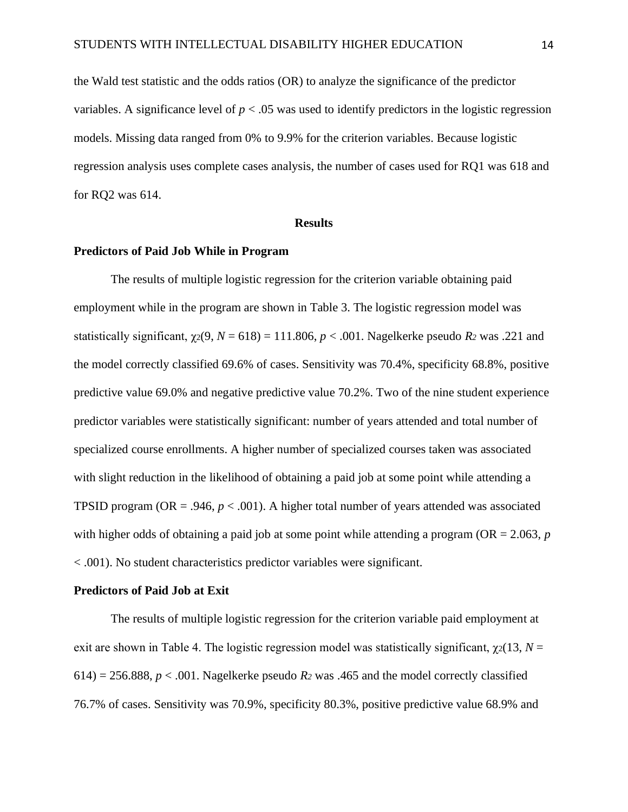the Wald test statistic and the odds ratios (OR) to analyze the significance of the predictor variables. A significance level of  $p < .05$  was used to identify predictors in the logistic regression models. Missing data ranged from 0% to 9.9% for the criterion variables. Because logistic regression analysis uses complete cases analysis, the number of cases used for RQ1 was 618 and for RQ2 was 614.

#### **Results**

## **Predictors of Paid Job While in Program**

The results of multiple logistic regression for the criterion variable obtaining paid employment while in the program are shown in Table 3. The logistic regression model was statistically significant,  $\gamma_2(9, N = 618) = 111.806$ ,  $p < .001$ . Nagelkerke pseudo R<sub>2</sub> was .221 and the model correctly classified 69.6% of cases. Sensitivity was 70.4%, specificity 68.8%, positive predictive value 69.0% and negative predictive value 70.2%. Two of the nine student experience predictor variables were statistically significant: number of years attended and total number of specialized course enrollments. A higher number of specialized courses taken was associated with slight reduction in the likelihood of obtaining a paid job at some point while attending a TPSID program ( $OR = .946$ ,  $p < .001$ ). A higher total number of years attended was associated with higher odds of obtaining a paid job at some point while attending a program (OR = 2.063, *p*  < .001). No student characteristics predictor variables were significant.

#### **Predictors of Paid Job at Exit**

The results of multiple logistic regression for the criterion variable paid employment at exit are shown in Table 4. The logistic regression model was statistically significant,  $\gamma_2(13, N =$  $614$ ) = 256.888,  $p < .001$ . Nagelkerke pseudo  $R_2$  was .465 and the model correctly classified 76.7% of cases. Sensitivity was 70.9%, specificity 80.3%, positive predictive value 68.9% and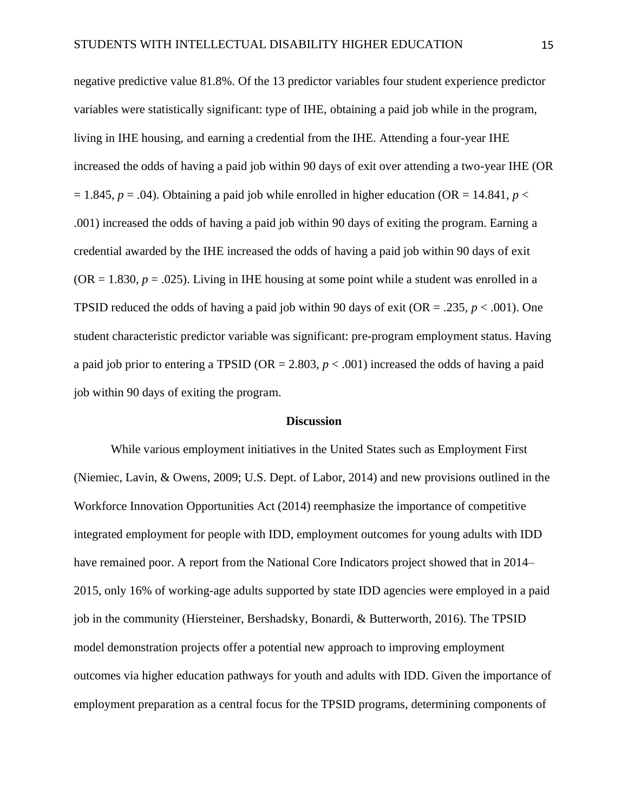negative predictive value 81.8%. Of the 13 predictor variables four student experience predictor variables were statistically significant: type of IHE, obtaining a paid job while in the program, living in IHE housing, and earning a credential from the IHE. Attending a four-year IHE increased the odds of having a paid job within 90 days of exit over attending a two-year IHE (OR  $= 1.845$ ,  $p = .04$ ). Obtaining a paid job while enrolled in higher education (OR  $= 14.841$ ,  $p <$ .001) increased the odds of having a paid job within 90 days of exiting the program. Earning a credential awarded by the IHE increased the odds of having a paid job within 90 days of exit  $(OR = 1.830, p = .025)$ . Living in IHE housing at some point while a student was enrolled in a TPSID reduced the odds of having a paid job within 90 days of exit (OR = .235,  $p < .001$ ). One student characteristic predictor variable was significant: pre-program employment status. Having a paid job prior to entering a TPSID (OR = 2.803, *p* < .001) increased the odds of having a paid job within 90 days of exiting the program.

#### **Discussion**

While various employment initiatives in the United States such as Employment First (Niemiec, Lavin, & Owens, 2009; U.S. Dept. of Labor, 2014) and new provisions outlined in the Workforce Innovation Opportunities Act (2014) reemphasize the importance of competitive integrated employment for people with IDD, employment outcomes for young adults with IDD have remained poor. A report from the National Core Indicators project showed that in 2014– 2015, only 16% of working-age adults supported by state IDD agencies were employed in a paid job in the community (Hiersteiner, Bershadsky, Bonardi, & Butterworth, 2016). The TPSID model demonstration projects offer a potential new approach to improving employment outcomes via higher education pathways for youth and adults with IDD. Given the importance of employment preparation as a central focus for the TPSID programs, determining components of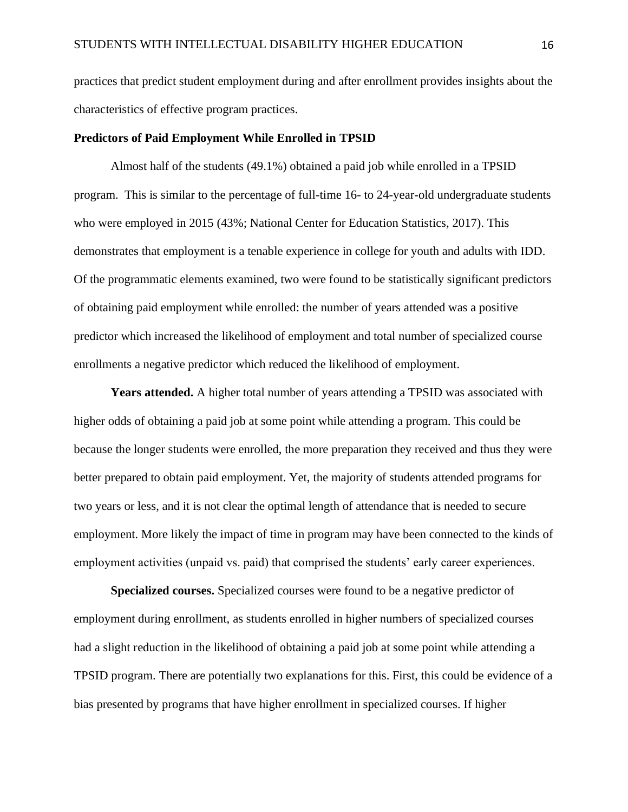practices that predict student employment during and after enrollment provides insights about the characteristics of effective program practices.

#### **Predictors of Paid Employment While Enrolled in TPSID**

Almost half of the students (49.1%) obtained a paid job while enrolled in a TPSID program. This is similar to the percentage of full-time 16- to 24-year-old undergraduate students who were employed in 2015 (43%; National Center for Education Statistics, 2017). This demonstrates that employment is a tenable experience in college for youth and adults with IDD. Of the programmatic elements examined, two were found to be statistically significant predictors of obtaining paid employment while enrolled: the number of years attended was a positive predictor which increased the likelihood of employment and total number of specialized course enrollments a negative predictor which reduced the likelihood of employment.

**Years attended.** A higher total number of years attending a TPSID was associated with higher odds of obtaining a paid job at some point while attending a program. This could be because the longer students were enrolled, the more preparation they received and thus they were better prepared to obtain paid employment. Yet, the majority of students attended programs for two years or less, and it is not clear the optimal length of attendance that is needed to secure employment. More likely the impact of time in program may have been connected to the kinds of employment activities (unpaid vs. paid) that comprised the students' early career experiences.

**Specialized courses.** Specialized courses were found to be a negative predictor of employment during enrollment, as students enrolled in higher numbers of specialized courses had a slight reduction in the likelihood of obtaining a paid job at some point while attending a TPSID program. There are potentially two explanations for this. First, this could be evidence of a bias presented by programs that have higher enrollment in specialized courses. If higher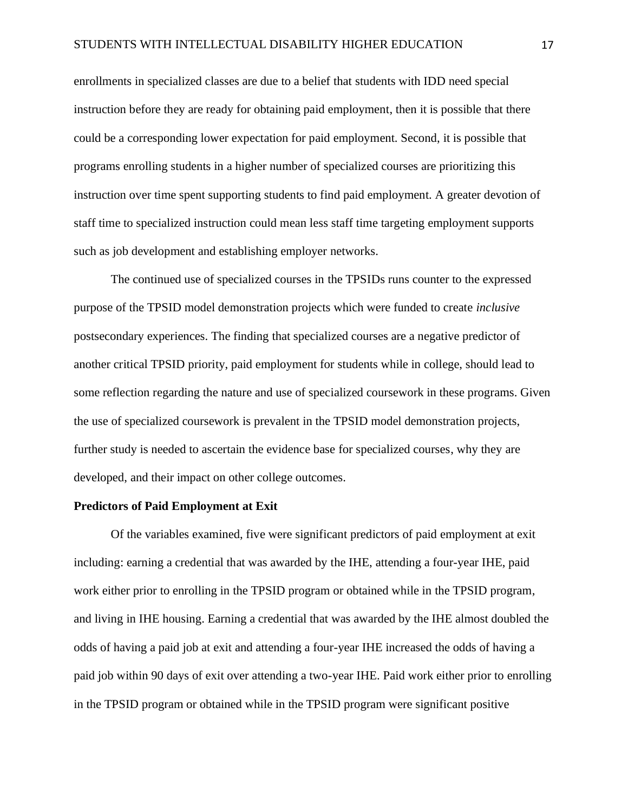enrollments in specialized classes are due to a belief that students with IDD need special instruction before they are ready for obtaining paid employment, then it is possible that there could be a corresponding lower expectation for paid employment. Second, it is possible that programs enrolling students in a higher number of specialized courses are prioritizing this instruction over time spent supporting students to find paid employment. A greater devotion of staff time to specialized instruction could mean less staff time targeting employment supports such as job development and establishing employer networks.

The continued use of specialized courses in the TPSIDs runs counter to the expressed purpose of the TPSID model demonstration projects which were funded to create *inclusive* postsecondary experiences. The finding that specialized courses are a negative predictor of another critical TPSID priority, paid employment for students while in college, should lead to some reflection regarding the nature and use of specialized coursework in these programs. Given the use of specialized coursework is prevalent in the TPSID model demonstration projects, further study is needed to ascertain the evidence base for specialized courses, why they are developed, and their impact on other college outcomes.

# **Predictors of Paid Employment at Exit**

Of the variables examined, five were significant predictors of paid employment at exit including: earning a credential that was awarded by the IHE, attending a four-year IHE, paid work either prior to enrolling in the TPSID program or obtained while in the TPSID program, and living in IHE housing. Earning a credential that was awarded by the IHE almost doubled the odds of having a paid job at exit and attending a four-year IHE increased the odds of having a paid job within 90 days of exit over attending a two-year IHE. Paid work either prior to enrolling in the TPSID program or obtained while in the TPSID program were significant positive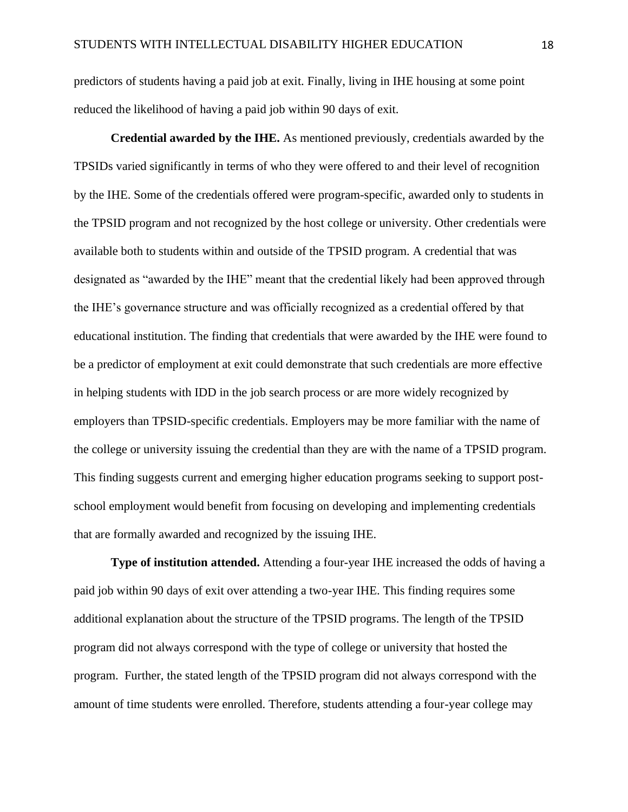predictors of students having a paid job at exit. Finally, living in IHE housing at some point reduced the likelihood of having a paid job within 90 days of exit.

**Credential awarded by the IHE.** As mentioned previously, credentials awarded by the TPSIDs varied significantly in terms of who they were offered to and their level of recognition by the IHE. Some of the credentials offered were program-specific, awarded only to students in the TPSID program and not recognized by the host college or university. Other credentials were available both to students within and outside of the TPSID program. A credential that was designated as "awarded by the IHE" meant that the credential likely had been approved through the IHE's governance structure and was officially recognized as a credential offered by that educational institution. The finding that credentials that were awarded by the IHE were found to be a predictor of employment at exit could demonstrate that such credentials are more effective in helping students with IDD in the job search process or are more widely recognized by employers than TPSID-specific credentials. Employers may be more familiar with the name of the college or university issuing the credential than they are with the name of a TPSID program. This finding suggests current and emerging higher education programs seeking to support postschool employment would benefit from focusing on developing and implementing credentials that are formally awarded and recognized by the issuing IHE.

**Type of institution attended.** Attending a four-year IHE increased the odds of having a paid job within 90 days of exit over attending a two-year IHE. This finding requires some additional explanation about the structure of the TPSID programs. The length of the TPSID program did not always correspond with the type of college or university that hosted the program. Further, the stated length of the TPSID program did not always correspond with the amount of time students were enrolled. Therefore, students attending a four-year college may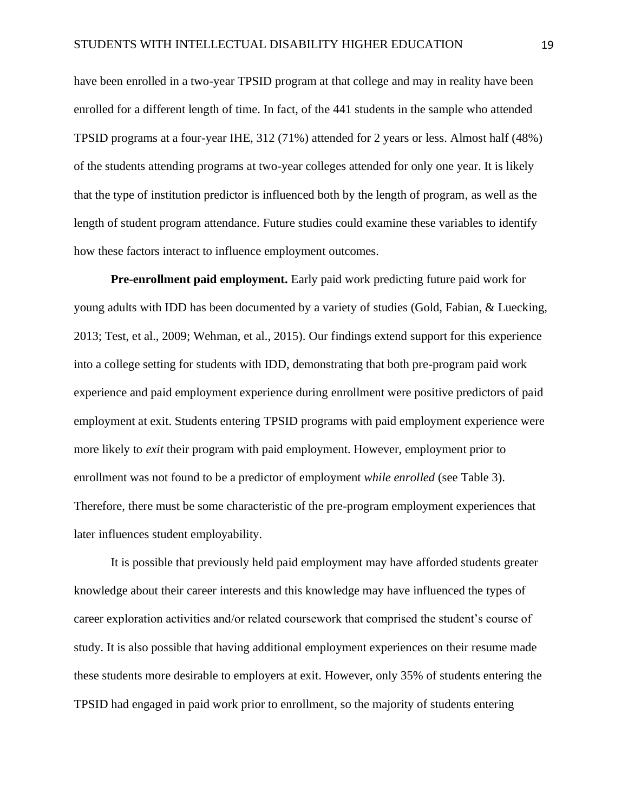have been enrolled in a two-year TPSID program at that college and may in reality have been enrolled for a different length of time. In fact, of the 441 students in the sample who attended TPSID programs at a four-year IHE, 312 (71%) attended for 2 years or less. Almost half (48%) of the students attending programs at two-year colleges attended for only one year. It is likely that the type of institution predictor is influenced both by the length of program, as well as the length of student program attendance. Future studies could examine these variables to identify how these factors interact to influence employment outcomes.

**Pre-enrollment paid employment.** Early paid work predicting future paid work for young adults with IDD has been documented by a variety of studies (Gold, Fabian, & Luecking, 2013; Test, et al., 2009; Wehman, et al., 2015). Our findings extend support for this experience into a college setting for students with IDD, demonstrating that both pre-program paid work experience and paid employment experience during enrollment were positive predictors of paid employment at exit. Students entering TPSID programs with paid employment experience were more likely to *exit* their program with paid employment. However, employment prior to enrollment was not found to be a predictor of employment *while enrolled* (see Table 3). Therefore, there must be some characteristic of the pre-program employment experiences that later influences student employability.

It is possible that previously held paid employment may have afforded students greater knowledge about their career interests and this knowledge may have influenced the types of career exploration activities and/or related coursework that comprised the student's course of study. It is also possible that having additional employment experiences on their resume made these students more desirable to employers at exit. However, only 35% of students entering the TPSID had engaged in paid work prior to enrollment, so the majority of students entering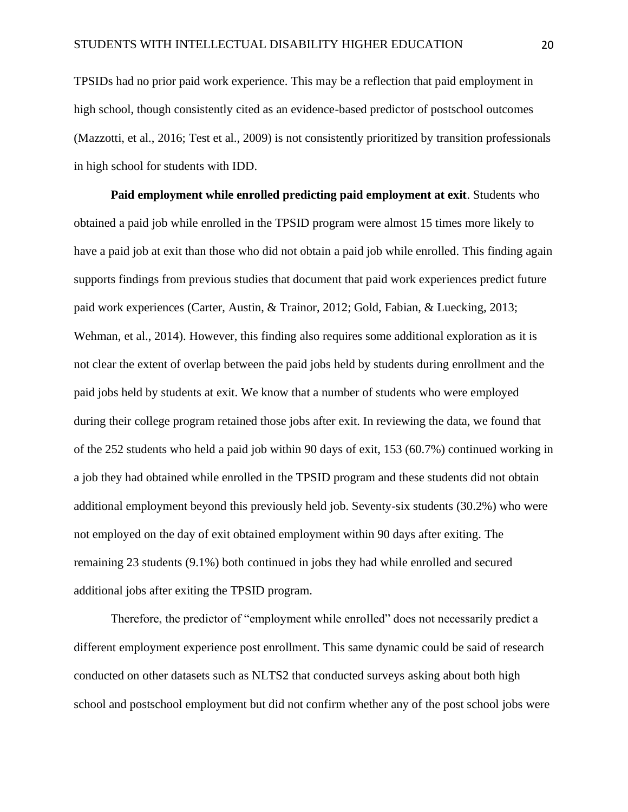TPSIDs had no prior paid work experience. This may be a reflection that paid employment in high school, though consistently cited as an evidence-based predictor of postschool outcomes (Mazzotti, et al., 2016; Test et al., 2009) is not consistently prioritized by transition professionals in high school for students with IDD.

**Paid employment while enrolled predicting paid employment at exit**. Students who obtained a paid job while enrolled in the TPSID program were almost 15 times more likely to have a paid job at exit than those who did not obtain a paid job while enrolled. This finding again supports findings from previous studies that document that paid work experiences predict future paid work experiences (Carter, Austin, & Trainor, 2012; Gold, Fabian, & Luecking, 2013; Wehman, et al., 2014). However, this finding also requires some additional exploration as it is not clear the extent of overlap between the paid jobs held by students during enrollment and the paid jobs held by students at exit. We know that a number of students who were employed during their college program retained those jobs after exit. In reviewing the data, we found that of the 252 students who held a paid job within 90 days of exit, 153 (60.7%) continued working in a job they had obtained while enrolled in the TPSID program and these students did not obtain additional employment beyond this previously held job. Seventy-six students (30.2%) who were not employed on the day of exit obtained employment within 90 days after exiting. The remaining 23 students (9.1%) both continued in jobs they had while enrolled and secured additional jobs after exiting the TPSID program.

Therefore, the predictor of "employment while enrolled" does not necessarily predict a different employment experience post enrollment. This same dynamic could be said of research conducted on other datasets such as NLTS2 that conducted surveys asking about both high school and postschool employment but did not confirm whether any of the post school jobs were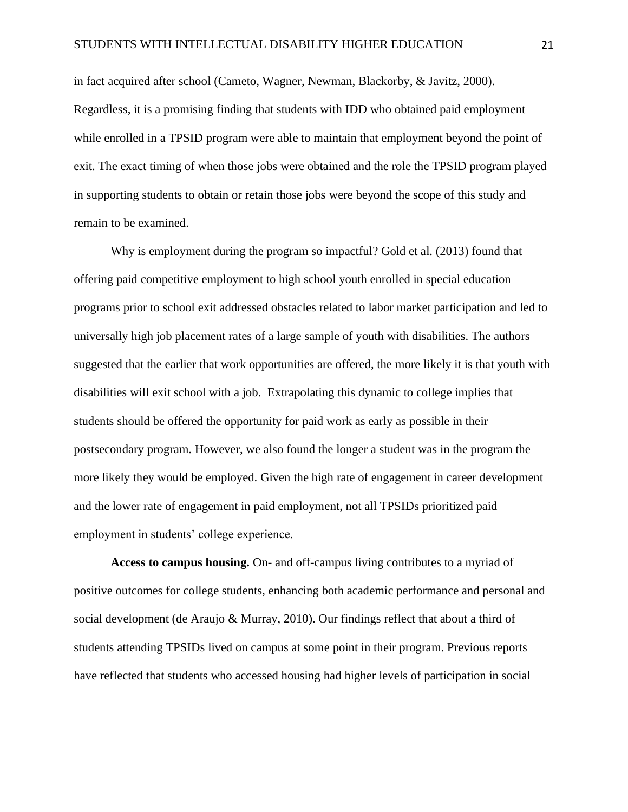in fact acquired after school (Cameto, Wagner, Newman, Blackorby, & Javitz, 2000). Regardless, it is a promising finding that students with IDD who obtained paid employment while enrolled in a TPSID program were able to maintain that employment beyond the point of exit. The exact timing of when those jobs were obtained and the role the TPSID program played in supporting students to obtain or retain those jobs were beyond the scope of this study and remain to be examined.

Why is employment during the program so impactful? Gold et al. (2013) found that offering paid competitive employment to high school youth enrolled in special education programs prior to school exit addressed obstacles related to labor market participation and led to universally high job placement rates of a large sample of youth with disabilities. The authors suggested that the earlier that work opportunities are offered, the more likely it is that youth with disabilities will exit school with a job. Extrapolating this dynamic to college implies that students should be offered the opportunity for paid work as early as possible in their postsecondary program. However, we also found the longer a student was in the program the more likely they would be employed. Given the high rate of engagement in career development and the lower rate of engagement in paid employment, not all TPSIDs prioritized paid employment in students' college experience.

**Access to campus housing.** On- and off-campus living contributes to a myriad of positive outcomes for college students, enhancing both academic performance and personal and social development (de Araujo & Murray, 2010). Our findings reflect that about a third of students attending TPSIDs lived on campus at some point in their program. Previous reports have reflected that students who accessed housing had higher levels of participation in social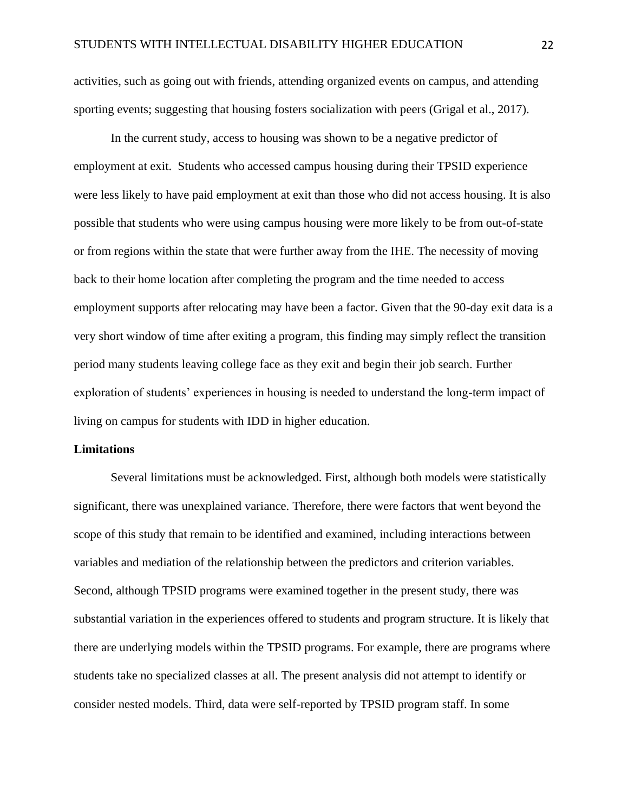activities, such as going out with friends, attending organized events on campus, and attending sporting events; suggesting that housing fosters socialization with peers (Grigal et al., 2017).

In the current study, access to housing was shown to be a negative predictor of employment at exit. Students who accessed campus housing during their TPSID experience were less likely to have paid employment at exit than those who did not access housing. It is also possible that students who were using campus housing were more likely to be from out-of-state or from regions within the state that were further away from the IHE. The necessity of moving back to their home location after completing the program and the time needed to access employment supports after relocating may have been a factor. Given that the 90-day exit data is a very short window of time after exiting a program, this finding may simply reflect the transition period many students leaving college face as they exit and begin their job search. Further exploration of students' experiences in housing is needed to understand the long-term impact of living on campus for students with IDD in higher education.

# **Limitations**

Several limitations must be acknowledged. First, although both models were statistically significant, there was unexplained variance. Therefore, there were factors that went beyond the scope of this study that remain to be identified and examined, including interactions between variables and mediation of the relationship between the predictors and criterion variables. Second, although TPSID programs were examined together in the present study, there was substantial variation in the experiences offered to students and program structure. It is likely that there are underlying models within the TPSID programs. For example, there are programs where students take no specialized classes at all. The present analysis did not attempt to identify or consider nested models. Third, data were self-reported by TPSID program staff. In some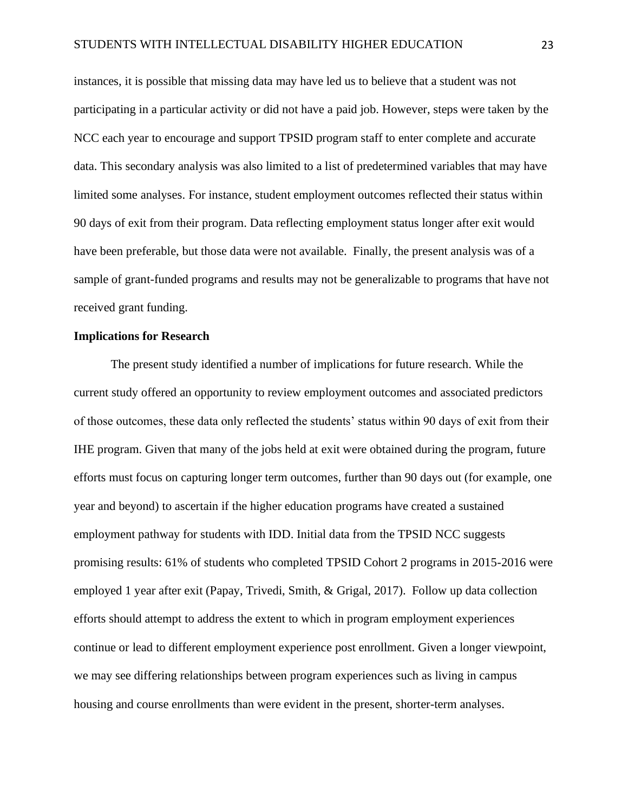instances, it is possible that missing data may have led us to believe that a student was not participating in a particular activity or did not have a paid job. However, steps were taken by the NCC each year to encourage and support TPSID program staff to enter complete and accurate data. This secondary analysis was also limited to a list of predetermined variables that may have limited some analyses. For instance, student employment outcomes reflected their status within 90 days of exit from their program. Data reflecting employment status longer after exit would have been preferable, but those data were not available. Finally, the present analysis was of a sample of grant-funded programs and results may not be generalizable to programs that have not received grant funding.

# **Implications for Research**

The present study identified a number of implications for future research. While the current study offered an opportunity to review employment outcomes and associated predictors of those outcomes, these data only reflected the students' status within 90 days of exit from their IHE program. Given that many of the jobs held at exit were obtained during the program, future efforts must focus on capturing longer term outcomes, further than 90 days out (for example, one year and beyond) to ascertain if the higher education programs have created a sustained employment pathway for students with IDD. Initial data from the TPSID NCC suggests promising results: 61% of students who completed TPSID Cohort 2 programs in 2015-2016 were employed 1 year after exit (Papay, Trivedi, Smith, & Grigal, 2017). Follow up data collection efforts should attempt to address the extent to which in program employment experiences continue or lead to different employment experience post enrollment. Given a longer viewpoint, we may see differing relationships between program experiences such as living in campus housing and course enrollments than were evident in the present, shorter-term analyses.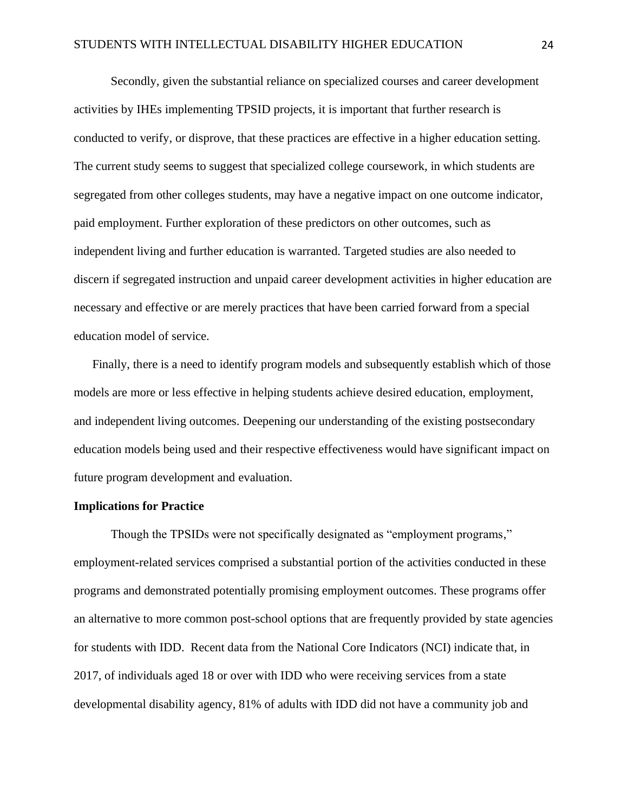Secondly, given the substantial reliance on specialized courses and career development activities by IHEs implementing TPSID projects, it is important that further research is conducted to verify, or disprove, that these practices are effective in a higher education setting. The current study seems to suggest that specialized college coursework, in which students are segregated from other colleges students, may have a negative impact on one outcome indicator, paid employment. Further exploration of these predictors on other outcomes, such as independent living and further education is warranted. Targeted studies are also needed to discern if segregated instruction and unpaid career development activities in higher education are necessary and effective or are merely practices that have been carried forward from a special education model of service.

Finally, there is a need to identify program models and subsequently establish which of those models are more or less effective in helping students achieve desired education, employment, and independent living outcomes. Deepening our understanding of the existing postsecondary education models being used and their respective effectiveness would have significant impact on future program development and evaluation.

### **Implications for Practice**

Though the TPSIDs were not specifically designated as "employment programs," employment-related services comprised a substantial portion of the activities conducted in these programs and demonstrated potentially promising employment outcomes. These programs offer an alternative to more common post-school options that are frequently provided by state agencies for students with IDD. Recent data from the National Core Indicators (NCI) indicate that, in 2017, of individuals aged 18 or over with IDD who were receiving services from a state developmental disability agency, 81% of adults with IDD did not have a community job and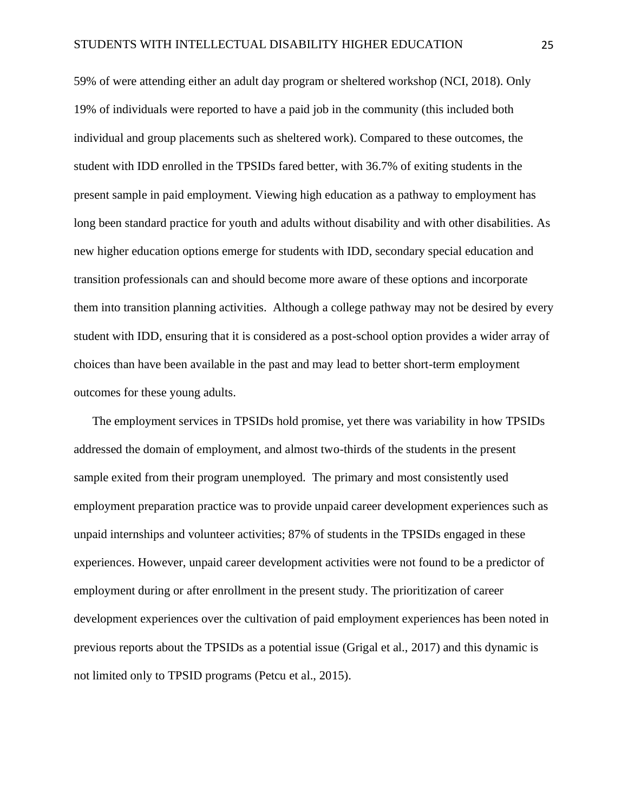59% of were attending either an adult day program or sheltered workshop (NCI, 2018). Only 19% of individuals were reported to have a paid job in the community (this included both individual and group placements such as sheltered work). Compared to these outcomes, the student with IDD enrolled in the TPSIDs fared better, with 36.7% of exiting students in the present sample in paid employment. Viewing high education as a pathway to employment has long been standard practice for youth and adults without disability and with other disabilities. As new higher education options emerge for students with IDD, secondary special education and transition professionals can and should become more aware of these options and incorporate them into transition planning activities. Although a college pathway may not be desired by every student with IDD, ensuring that it is considered as a post-school option provides a wider array of choices than have been available in the past and may lead to better short-term employment outcomes for these young adults.

The employment services in TPSIDs hold promise, yet there was variability in how TPSIDs addressed the domain of employment, and almost two-thirds of the students in the present sample exited from their program unemployed. The primary and most consistently used employment preparation practice was to provide unpaid career development experiences such as unpaid internships and volunteer activities; 87% of students in the TPSIDs engaged in these experiences. However, unpaid career development activities were not found to be a predictor of employment during or after enrollment in the present study. The prioritization of career development experiences over the cultivation of paid employment experiences has been noted in previous reports about the TPSIDs as a potential issue (Grigal et al., 2017) and this dynamic is not limited only to TPSID programs (Petcu et al., 2015).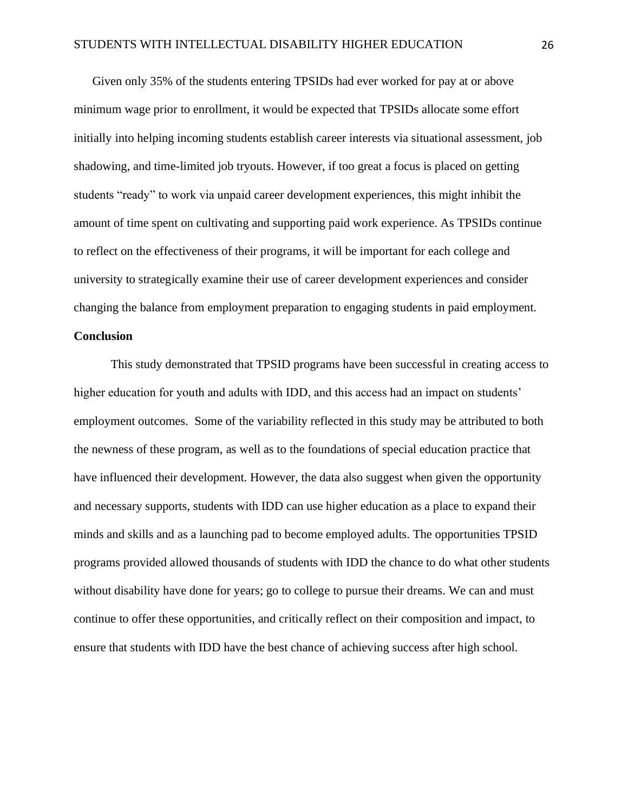Given only 35% of the students entering TPSIDs had ever worked for pay at or above minimum wage prior to enrollment, it would be expected that TPSIDs allocate some effort initially into helping incoming students establish career interests via situational assessment, job shadowing, and time-limited job tryouts. However, if too great a focus is placed on getting students "ready" to work via unpaid career development experiences, this might inhibit the amount of time spent on cultivating and supporting paid work experience. As TPSIDs continue to reflect on the effectiveness of their programs, it will be important for each college and university to strategically examine their use of career development experiences and consider changing the balance from employment preparation to engaging students in paid employment.

# **Conclusion**

This study demonstrated that TPSID programs have been successful in creating access to higher education for youth and adults with IDD, and this access had an impact on students' employment outcomes. Some of the variability reflected in this study may be attributed to both the newness of these program, as well as to the foundations of special education practice that have influenced their development. However, the data also suggest when given the opportunity and necessary supports, students with IDD can use higher education as a place to expand their minds and skills and as a launching pad to become employed adults. The opportunities TPSID programs provided allowed thousands of students with IDD the chance to do what other students without disability have done for years; go to college to pursue their dreams. We can and must continue to offer these opportunities, and critically reflect on their composition and impact, to ensure that students with IDD have the best chance of achieving success after high school.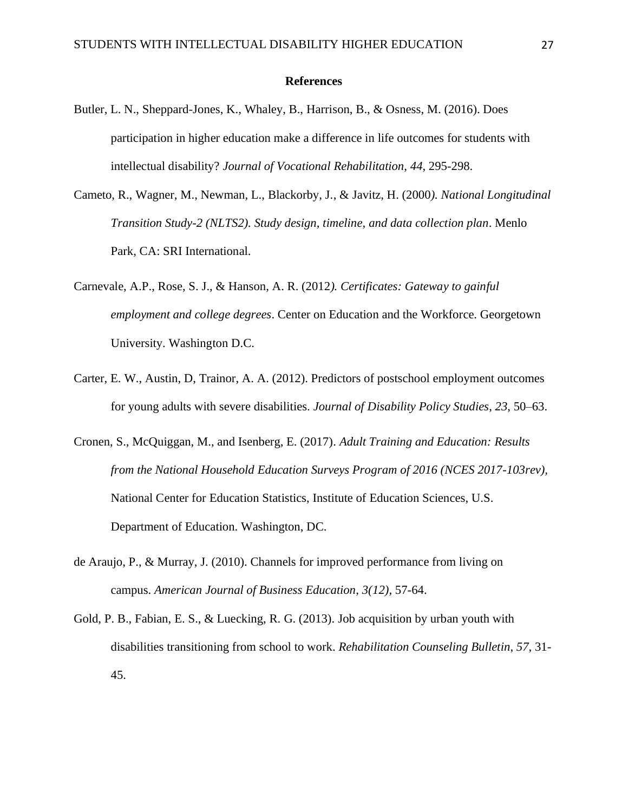#### **References**

- Butler, L. N., Sheppard-Jones, K., Whaley, B., Harrison, B., & Osness, M. (2016). Does participation in higher education make a difference in life outcomes for students with intellectual disability? *Journal of Vocational Rehabilitation*, *44*, 295-298.
- Cameto, R., Wagner, M., Newman, L., Blackorby, J., & Javitz, H. (2000*). National Longitudinal Transition Study-2 (NLTS2). Study design, timeline, and data collection plan*. Menlo Park, CA: SRI International.
- Carnevale, A.P., Rose, S. J., & Hanson, A. R. (2012*). Certificates: Gateway to gainful employment and college degrees*. Center on Education and the Workforce. Georgetown University. Washington D.C.
- Carter, E. W., Austin, D, Trainor, A. A. (2012). Predictors of postschool employment outcomes for young adults with severe disabilities. *Journal of Disability Policy Studies*, *23*, 50–63.
- Cronen, S., McQuiggan, M., and Isenberg, E. (2017). *Adult Training and Education: Results from the National Household Education Surveys Program of 2016 (NCES 2017-103rev),* National Center for Education Statistics, Institute of Education Sciences, U.S. Department of Education. Washington, DC.
- de Araujo, P., & Murray, J. (2010). Channels for improved performance from living on campus. *American Journal of Business Education*, *3(12),* 57-64.
- Gold, P. B., Fabian, E. S., & Luecking, R. G. (2013). Job acquisition by urban youth with disabilities transitioning from school to work. *Rehabilitation Counseling Bulletin*, *57*, 31- 45.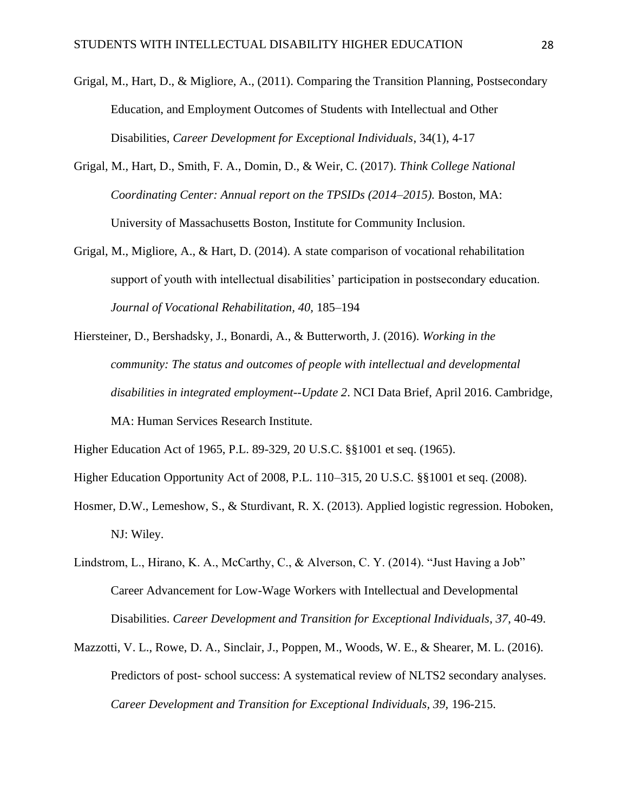- Grigal, M., Hart, D., & Migliore, A., (2011). Comparing the Transition Planning, Postsecondary Education, and Employment Outcomes of Students with Intellectual and Other Disabilities, *Career Development for Exceptional Individuals*, 34(1), 4-17
- Grigal, M., Hart, D., Smith, F. A., Domin, D., & Weir, C. (2017). *Think College National Coordinating Center: Annual report on the TPSIDs (2014–2015).* Boston, MA: University of Massachusetts Boston, Institute for Community Inclusion.
- Grigal, M., Migliore, A., & Hart, D. (2014). A state comparison of vocational rehabilitation support of youth with intellectual disabilities' participation in postsecondary education. *Journal of Vocational Rehabilitation, 40,* 185–194
- Hiersteiner, D., Bershadsky, J., Bonardi, A., & Butterworth, J. (2016). *Working in the community: The status and outcomes of people with intellectual and developmental disabilities in integrated employment--Update 2*. NCI Data Brief, April 2016. Cambridge, MA: Human Services Research Institute.

Higher Education Act of 1965, P.L. 89-329, 20 U.S.C. §§1001 et seq. (1965).

Higher Education Opportunity Act of 2008, P.L. 110–315, 20 U.S.C. §§1001 et seq. (2008).

- Hosmer, D.W., Lemeshow, S., & Sturdivant, R. X. (2013). Applied logistic regression. Hoboken, NJ: Wiley.
- Lindstrom, L., Hirano, K. A., McCarthy, C., & Alverson, C. Y. (2014). "Just Having a Job" Career Advancement for Low-Wage Workers with Intellectual and Developmental Disabilities. *Career Development and Transition for Exceptional Individuals*, *37*, 40-49.
- Mazzotti, V. L., Rowe, D. A., Sinclair, J., Poppen, M., Woods, W. E., & Shearer, M. L. (2016). Predictors of post- school success: A systematical review of NLTS2 secondary analyses. *Career Development and Transition for Exceptional Individuals, 39,* 196-215.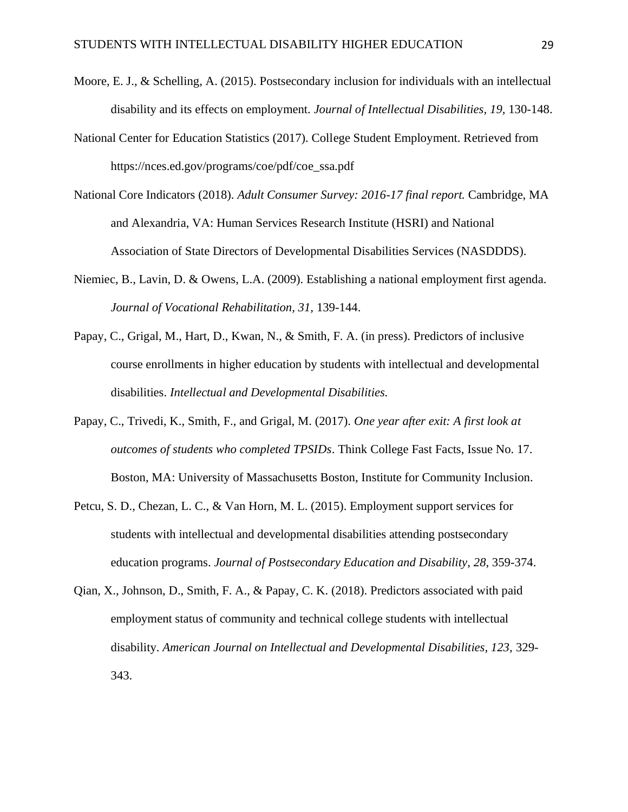- Moore, E. J., & Schelling, A. (2015). Postsecondary inclusion for individuals with an intellectual disability and its effects on employment. *Journal of Intellectual Disabilities, 19,* 130-148.
- National Center for Education Statistics (2017). College Student Employment. Retrieved from https://nces.ed.gov/programs/coe/pdf/coe\_ssa.pdf
- National Core Indicators (2018). *Adult Consumer Survey: 2016-17 final report.* Cambridge, MA and Alexandria, VA: Human Services Research Institute (HSRI) and National Association of State Directors of Developmental Disabilities Services (NASDDDS).
- Niemiec, B., Lavin, D. & Owens, L.A. (2009). Establishing a national employment first agenda. *Journal of Vocational Rehabilitation, 31,* 139-144.
- Papay, C., Grigal, M., Hart, D., Kwan, N., & Smith, F. A. (in press). Predictors of inclusive course enrollments in higher education by students with intellectual and developmental disabilities. *Intellectual and Developmental Disabilities.*
- Papay, C., Trivedi, K., Smith, F., and Grigal, M. (2017). *One year after exit: A first look at outcomes of students who completed TPSIDs*. Think College Fast Facts, Issue No. 17. Boston, MA: University of Massachusetts Boston, Institute for Community Inclusion.
- Petcu, S. D., Chezan, L. C., & Van Horn, M. L. (2015). Employment support services for students with intellectual and developmental disabilities attending postsecondary education programs. *Journal of Postsecondary Education and Disability*, *28*, 359-374.
- Qian, X., Johnson, D., Smith, F. A., & Papay, C. K. (2018). Predictors associated with paid employment status of community and technical college students with intellectual disability. *American Journal on Intellectual and Developmental Disabilities, 123,* 329- 343.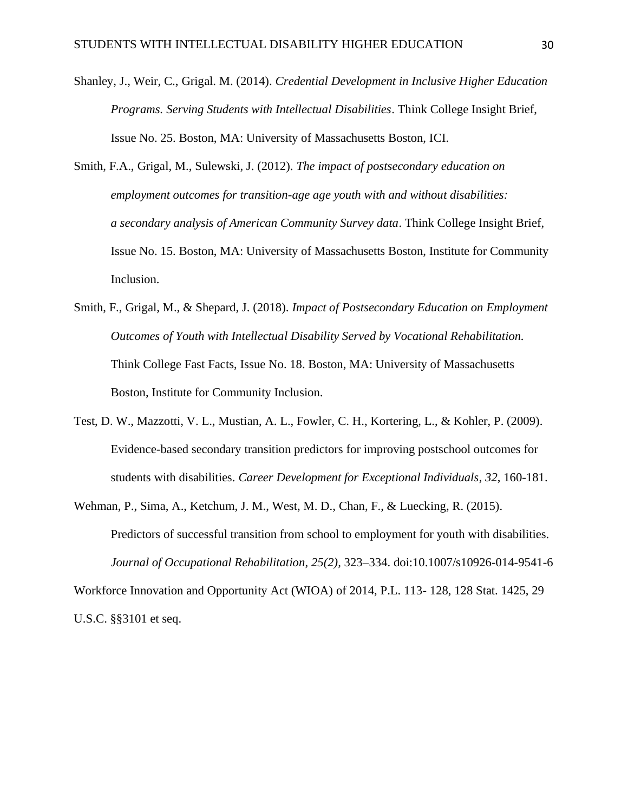- Shanley, J., Weir, C., Grigal. M. (2014). *Credential Development in Inclusive Higher Education Programs. Serving Students with Intellectual Disabilities*. Think College Insight Brief, Issue No. 25. Boston, MA: University of Massachusetts Boston, ICI.
- Smith, F.A., Grigal, M., Sulewski, J. (2012). *The impact of postsecondary education on employment outcomes for transition-age age youth with and without disabilities: a secondary analysis of American Community Survey data*. Think College Insight Brief, Issue No. 15. Boston, MA: University of Massachusetts Boston, Institute for Community Inclusion.
- Smith, F., Grigal, M., & Shepard, J. (2018). *Impact of Postsecondary Education on Employment Outcomes of Youth with Intellectual Disability Served by Vocational Rehabilitation.*  Think College Fast Facts, Issue No. 18. Boston, MA: University of Massachusetts Boston, Institute for Community Inclusion.
- Test, D. W., Mazzotti, V. L., Mustian, A. L., Fowler, C. H., Kortering, L., & Kohler, P. (2009). Evidence-based secondary transition predictors for improving postschool outcomes for students with disabilities. *Career Development for Exceptional Individuals*, *32*, 160-181.
- Wehman, P., Sima, A., Ketchum, J. M., West, M. D., Chan, F., & Luecking, R. (2015). Predictors of successful transition from school to employment for youth with disabilities. *Journal of Occupational Rehabilitation*, *25(2),* 323–334. doi:10.1007/s10926-014-9541-6

Workforce Innovation and Opportunity Act (WIOA) of 2014, P.L. 113- 128, 128 Stat. 1425, 29 U.S.C. §§3101 et seq.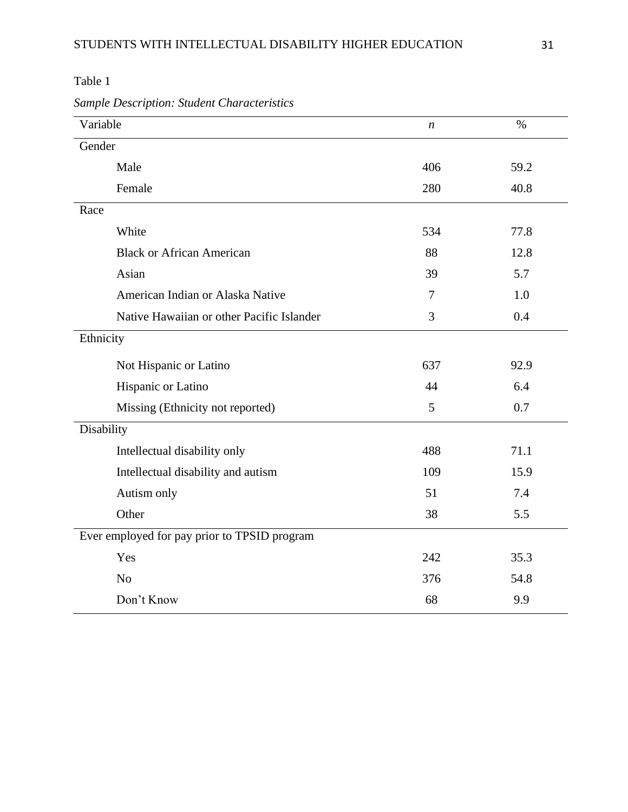| Variable                                     | n   | $\%$ |  |  |
|----------------------------------------------|-----|------|--|--|
| Gender                                       |     |      |  |  |
| Male                                         | 406 | 59.2 |  |  |
| Female                                       | 280 | 40.8 |  |  |
| Race                                         |     |      |  |  |
| White                                        | 534 | 77.8 |  |  |
| <b>Black or African American</b>             | 88  | 12.8 |  |  |
| Asian                                        | 39  | 5.7  |  |  |
| American Indian or Alaska Native             | 7   | 1.0  |  |  |
| Native Hawaiian or other Pacific Islander    | 3   | 0.4  |  |  |
| Ethnicity                                    |     |      |  |  |
| Not Hispanic or Latino                       | 637 | 92.9 |  |  |
| Hispanic or Latino                           | 44  | 6.4  |  |  |
| Missing (Ethnicity not reported)             | 5   | 0.7  |  |  |
| Disability                                   |     |      |  |  |
| Intellectual disability only                 | 488 | 71.1 |  |  |
| Intellectual disability and autism           | 109 | 15.9 |  |  |
| Autism only                                  | 51  | 7.4  |  |  |
| Other                                        | 38  | 5.5  |  |  |
| Ever employed for pay prior to TPSID program |     |      |  |  |
| Yes                                          | 242 | 35.3 |  |  |
| N <sub>o</sub>                               | 376 | 54.8 |  |  |
| Don't Know                                   | 68  | 9.9  |  |  |

*Sample Description: Student Characteristics*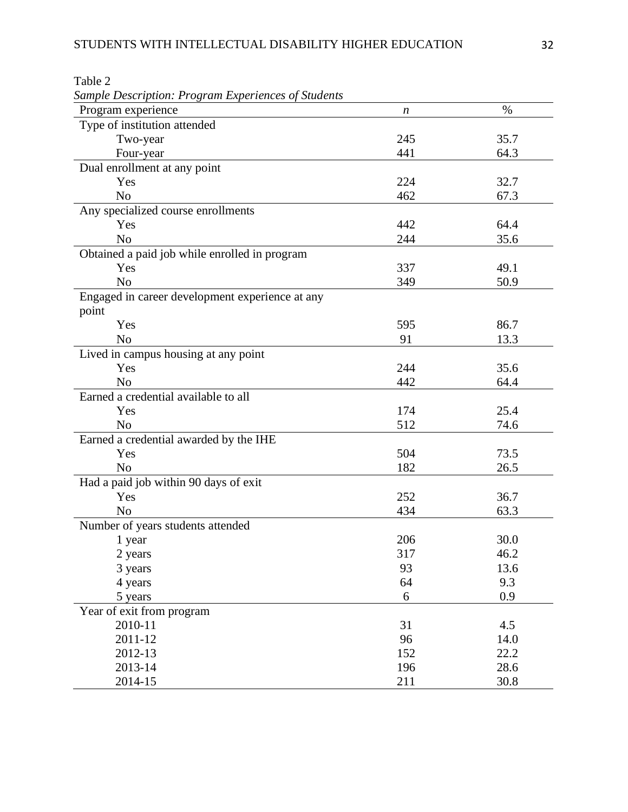| <b>Sample Description: Program Experiences of Students</b> |     |      |
|------------------------------------------------------------|-----|------|
| Program experience                                         | n   | $\%$ |
| Type of institution attended                               |     |      |
| Two-year                                                   | 245 | 35.7 |
| Four-year                                                  | 441 | 64.3 |
| Dual enrollment at any point                               |     |      |
| Yes                                                        | 224 | 32.7 |
| N <sub>o</sub>                                             | 462 | 67.3 |
| Any specialized course enrollments                         |     |      |
| Yes                                                        | 442 | 64.4 |
| N <sub>o</sub>                                             | 244 | 35.6 |
| Obtained a paid job while enrolled in program              |     |      |
| Yes                                                        | 337 | 49.1 |
| N <sub>o</sub>                                             | 349 | 50.9 |
| Engaged in career development experience at any            |     |      |
| point                                                      |     |      |
| Yes                                                        | 595 | 86.7 |
| N <sub>0</sub>                                             | 91  | 13.3 |
| Lived in campus housing at any point                       |     |      |
| Yes                                                        | 244 | 35.6 |
| N <sub>o</sub>                                             | 442 | 64.4 |
| Earned a credential available to all                       |     |      |
| Yes                                                        | 174 | 25.4 |
| N <sub>0</sub>                                             | 512 | 74.6 |
| Earned a credential awarded by the IHE                     |     |      |
| Yes                                                        | 504 | 73.5 |
| N <sub>o</sub>                                             | 182 | 26.5 |
| Had a paid job within 90 days of exit                      |     |      |
| Yes                                                        | 252 | 36.7 |
| N <sub>o</sub>                                             | 434 | 63.3 |
| Number of years students attended                          |     |      |
| 1 year                                                     | 206 | 30.0 |
| 2 years                                                    | 317 | 46.2 |
| 3 years                                                    | 93  | 13.6 |
| 4 years                                                    | 64  | 9.3  |
| 5 years                                                    | 6   | 0.9  |
| Year of exit from program                                  |     |      |
| 2010-11                                                    | 31  | 4.5  |
| 2011-12                                                    | 96  | 14.0 |
| 2012-13                                                    | 152 | 22.2 |
| 2013-14                                                    | 196 | 28.6 |
| 2014-15                                                    | 211 | 30.8 |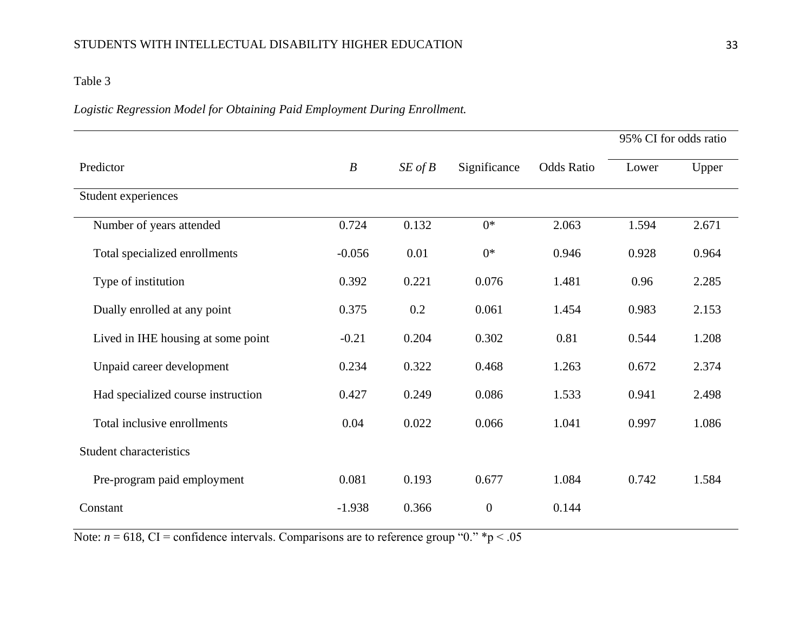# *Logistic Regression Model for Obtaining Paid Employment During Enrollment.*

|                                    |                  |             |                  |                   | 95% CI for odds ratio |       |
|------------------------------------|------------------|-------------|------------------|-------------------|-----------------------|-------|
| Predictor                          | $\boldsymbol{B}$ | $SE$ of $B$ | Significance     | <b>Odds Ratio</b> | Lower                 | Upper |
| Student experiences                |                  |             |                  |                   |                       |       |
| Number of years attended           | 0.724            | 0.132       | $0^*$            | 2.063             | 1.594                 | 2.671 |
| Total specialized enrollments      | $-0.056$         | 0.01        | $0*$             | 0.946             | 0.928                 | 0.964 |
| Type of institution                | 0.392            | 0.221       | 0.076            | 1.481             | 0.96                  | 2.285 |
| Dually enrolled at any point       | 0.375            | 0.2         | 0.061            | 1.454             | 0.983                 | 2.153 |
| Lived in IHE housing at some point | $-0.21$          | 0.204       | 0.302            | 0.81              | 0.544                 | 1.208 |
| Unpaid career development          | 0.234            | 0.322       | 0.468            | 1.263             | 0.672                 | 2.374 |
| Had specialized course instruction | 0.427            | 0.249       | 0.086            | 1.533             | 0.941                 | 2.498 |
| Total inclusive enrollments        | 0.04             | 0.022       | 0.066            | 1.041             | 0.997                 | 1.086 |
| <b>Student characteristics</b>     |                  |             |                  |                   |                       |       |
| Pre-program paid employment        | 0.081            | 0.193       | 0.677            | 1.084             | 0.742                 | 1.584 |
| Constant                           | $-1.938$         | 0.366       | $\boldsymbol{0}$ | 0.144             |                       |       |

Note:  $n = 618$ , CI = confidence intervals. Comparisons are to reference group "0." \*p < .05